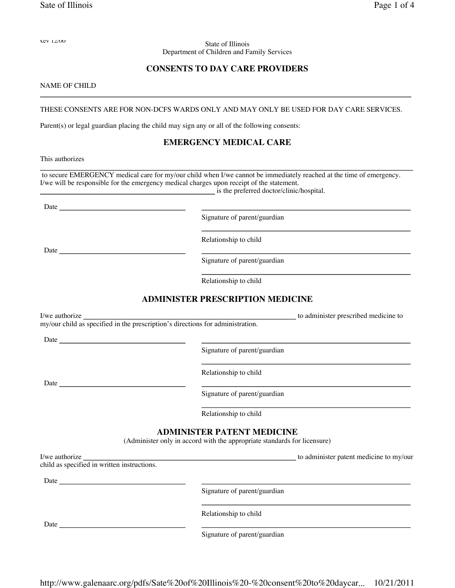State of Illinois Department of Children and Family Services

# **CONSENTS TO DAY CARE PROVIDERS**

#### NAME OF CHILD

#### THESE CONSENTS ARE FOR NON-DCFS WARDS ONLY AND MAY ONLY BE USED FOR DAY CARE SERVICES.

Parent(s) or legal guardian placing the child may sign any or all of the following consents:

## **EMERGENCY MEDICAL CARE**

This authorizes

to secure EMERGENCY medical care for my/our child when I/we cannot be immediately reached at the time of emergency. I/we will be responsible for the emergency medical charges upon receipt of the statement.

**is the preferred doctor/clinic/hospital.** 

Date

Date

Signature of parent/guardian

Relationship to child

Signature of parent/guardian

Relationship to child

### **ADMINISTER PRESCRIPTION MEDICINE**

I/we authorize service to administer prescribed medicine to a service to administer prescribed medicine to a service to a service to a service to a service to a service to a service to a service to a service to a service t my/our child as specified in the prescription's directions for administration. **ADMINISTER PATENT MEDICINE** Date Signature of parent/guardian Relationship to child Date Signature of parent/guardian Relationship to child

(Administer only in accord with the appropriate standards for licensure)

| I/we authorize                              |                              | to administer patent medicine to my/our |
|---------------------------------------------|------------------------------|-----------------------------------------|
| child as specified in written instructions. |                              |                                         |
| Date                                        |                              |                                         |
|                                             | Signature of parent/guardian |                                         |
|                                             | Relationship to child        |                                         |
| Date                                        |                              |                                         |

Signature of parent/guardian

http://www.galenaarc.org/pdfs/Sate%20of%20Illinois%20-%20consent%20to%20daycar... 10/21/2011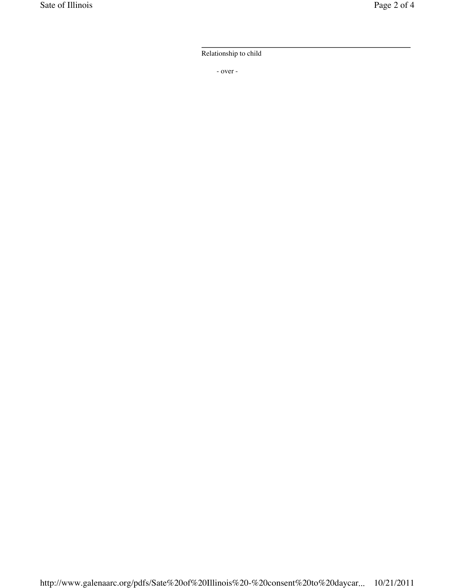### Relationship to child

- over -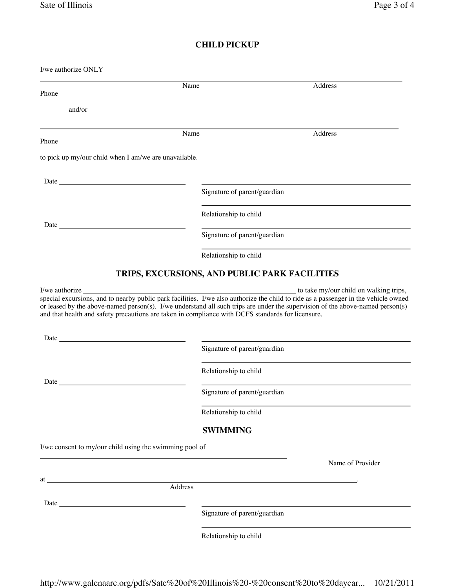# **CHILD PICKUP**

|                                                                                                                                                                                                                                                                                                                                                                                                               | Name                                                                                              | Address                                                                                                                       |
|---------------------------------------------------------------------------------------------------------------------------------------------------------------------------------------------------------------------------------------------------------------------------------------------------------------------------------------------------------------------------------------------------------------|---------------------------------------------------------------------------------------------------|-------------------------------------------------------------------------------------------------------------------------------|
| Phone                                                                                                                                                                                                                                                                                                                                                                                                         |                                                                                                   |                                                                                                                               |
| and/or                                                                                                                                                                                                                                                                                                                                                                                                        |                                                                                                   |                                                                                                                               |
|                                                                                                                                                                                                                                                                                                                                                                                                               |                                                                                                   |                                                                                                                               |
| Phone                                                                                                                                                                                                                                                                                                                                                                                                         | Name                                                                                              | Address                                                                                                                       |
|                                                                                                                                                                                                                                                                                                                                                                                                               |                                                                                                   |                                                                                                                               |
| to pick up my/our child when I am/we are unavailable.                                                                                                                                                                                                                                                                                                                                                         |                                                                                                   |                                                                                                                               |
| Date $\frac{1}{\sqrt{1-\frac{1}{2}}\sqrt{1-\frac{1}{2}}\sqrt{1-\frac{1}{2}}\sqrt{1-\frac{1}{2}}\sqrt{1-\frac{1}{2}}\sqrt{1-\frac{1}{2}}\sqrt{1-\frac{1}{2}}\sqrt{1-\frac{1}{2}}\sqrt{1-\frac{1}{2}}\sqrt{1-\frac{1}{2}}\sqrt{1-\frac{1}{2}}\sqrt{1-\frac{1}{2}}\sqrt{1-\frac{1}{2}}\sqrt{1-\frac{1}{2}}\sqrt{1-\frac{1}{2}}\sqrt{1-\frac{1}{2}}\sqrt{1-\frac{1}{2}}\sqrt{1-\frac{1}{2}}\sqrt{1-\frac{1}{2}}\$ |                                                                                                   |                                                                                                                               |
|                                                                                                                                                                                                                                                                                                                                                                                                               | Signature of parent/guardian                                                                      |                                                                                                                               |
|                                                                                                                                                                                                                                                                                                                                                                                                               |                                                                                                   |                                                                                                                               |
|                                                                                                                                                                                                                                                                                                                                                                                                               | Relationship to child                                                                             |                                                                                                                               |
|                                                                                                                                                                                                                                                                                                                                                                                                               | Signature of parent/guardian                                                                      |                                                                                                                               |
|                                                                                                                                                                                                                                                                                                                                                                                                               | Relationship to child                                                                             |                                                                                                                               |
|                                                                                                                                                                                                                                                                                                                                                                                                               |                                                                                                   |                                                                                                                               |
|                                                                                                                                                                                                                                                                                                                                                                                                               | TRIPS, EXCURSIONS, AND PUBLIC PARK FACILITIES                                                     |                                                                                                                               |
|                                                                                                                                                                                                                                                                                                                                                                                                               |                                                                                                   |                                                                                                                               |
|                                                                                                                                                                                                                                                                                                                                                                                                               |                                                                                                   |                                                                                                                               |
|                                                                                                                                                                                                                                                                                                                                                                                                               |                                                                                                   | or leased by the above-named person(s). I/we understand all such trips are under the supervision of the above-named person(s) |
|                                                                                                                                                                                                                                                                                                                                                                                                               | and that health and safety precautions are taken in compliance with DCFS standards for licensure. |                                                                                                                               |
|                                                                                                                                                                                                                                                                                                                                                                                                               |                                                                                                   |                                                                                                                               |
|                                                                                                                                                                                                                                                                                                                                                                                                               |                                                                                                   |                                                                                                                               |
| Date and the same state of the same state of the same state of the same state of the same state of the same state of the same state of the same state of the same state of the same state of the same state of the same state                                                                                                                                                                                 | Signature of parent/guardian                                                                      |                                                                                                                               |
|                                                                                                                                                                                                                                                                                                                                                                                                               |                                                                                                   |                                                                                                                               |
|                                                                                                                                                                                                                                                                                                                                                                                                               | Relationship to child                                                                             |                                                                                                                               |
| Date                                                                                                                                                                                                                                                                                                                                                                                                          |                                                                                                   |                                                                                                                               |
|                                                                                                                                                                                                                                                                                                                                                                                                               | Signature of parent/guardian                                                                      |                                                                                                                               |
|                                                                                                                                                                                                                                                                                                                                                                                                               | Relationship to child                                                                             |                                                                                                                               |
|                                                                                                                                                                                                                                                                                                                                                                                                               |                                                                                                   |                                                                                                                               |
|                                                                                                                                                                                                                                                                                                                                                                                                               | <b>SWIMMING</b>                                                                                   |                                                                                                                               |
|                                                                                                                                                                                                                                                                                                                                                                                                               |                                                                                                   |                                                                                                                               |
|                                                                                                                                                                                                                                                                                                                                                                                                               |                                                                                                   |                                                                                                                               |
|                                                                                                                                                                                                                                                                                                                                                                                                               |                                                                                                   | Name of Provider                                                                                                              |
|                                                                                                                                                                                                                                                                                                                                                                                                               |                                                                                                   |                                                                                                                               |
|                                                                                                                                                                                                                                                                                                                                                                                                               | Address                                                                                           |                                                                                                                               |
|                                                                                                                                                                                                                                                                                                                                                                                                               | Signature of parent/guardian                                                                      |                                                                                                                               |
| I/we consent to my/our child using the swimming pool of                                                                                                                                                                                                                                                                                                                                                       | Relationship to child                                                                             |                                                                                                                               |

http://www.galenaarc.org/pdfs/Sate%20of%20Illinois%20-%20consent%20to%20daycar... 10/21/2011